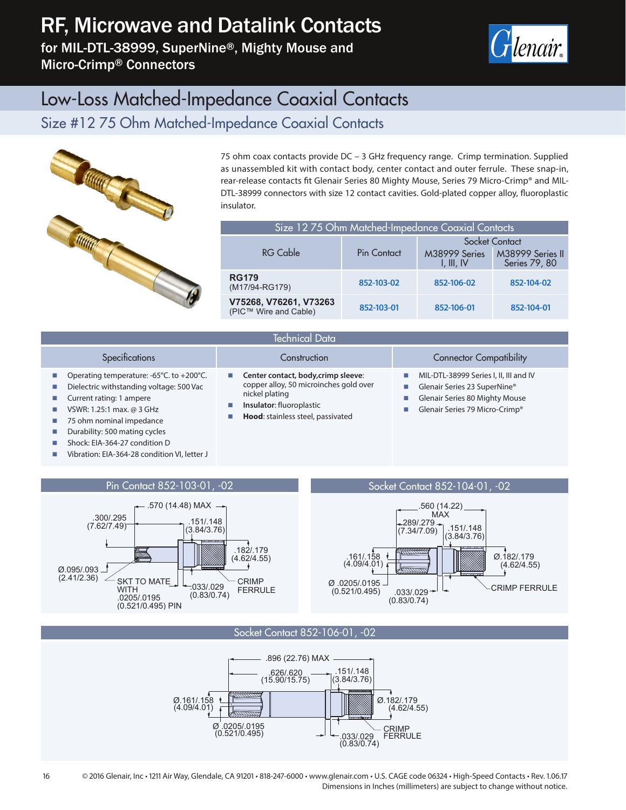# RF, Microwave and Datalink Contacts

for MIL-DTL-38999, SuperNine®, Mighty Mouse and Micro-Crimp® Connectors



### Low-Loss Matched-Impedance Coaxial Contacts

#### Size #12 75 Ohm Matched-Impedance Coaxial Contacts



75 ohm coax contacts provide DC – 3 GHz frequency range. Crimp termination. Supplied as unassembled kit with contact body, center contact and outer ferrule. These snap-in, rear-release contacts fit Glenair Series 80 Mighty Mouse, Series 79 Micro-Crimp® and MIL-DTL-38999 connectors with size 12 contact cavities. Gold-plated copper alloy, fluoroplastic insulator.

| Size 12 75 Ohm Matched-Impedance Coaxial Contacts |             |                             |                                   |  |  |  |  |
|---------------------------------------------------|-------------|-----------------------------|-----------------------------------|--|--|--|--|
|                                                   | Pin Contact | Socket Contact              |                                   |  |  |  |  |
| <b>RG Cable</b>                                   |             | M38999 Series<br>I, III, IV | M38999 Series II<br>Series 79, 80 |  |  |  |  |
| <b>RG179</b><br>(M17/94-RG179)                    | 852-103-02  | 852-106-02                  | 852-104-02                        |  |  |  |  |
| V75268, V76261, V73263<br>(PIC™ Wire and Cable)   | 852-103-01  | 852-106-01                  | 852-104-01                        |  |  |  |  |

| Technical Data <sup>1</sup>                                                                                                                                                              |                                                                                                                                                                                         |                                                                                                                                            |  |  |  |  |  |
|------------------------------------------------------------------------------------------------------------------------------------------------------------------------------------------|-----------------------------------------------------------------------------------------------------------------------------------------------------------------------------------------|--------------------------------------------------------------------------------------------------------------------------------------------|--|--|--|--|--|
| Specifications                                                                                                                                                                           | Construction                                                                                                                                                                            | <b>Connector Compatibility</b>                                                                                                             |  |  |  |  |  |
| Operating temperature: -65°C. to +200°C.<br>ш<br>Dielectric withstanding voltage: 500 Vac<br>Current rating: 1 ampere<br>VSWR: 1.25:1 max. @ 3 GHz<br>ш<br>75 ohm nominal impedance<br>ш | Center contact, body, crimp sleeve:<br><b>College</b><br>copper alloy, 50 microinches gold over<br>nickel plating<br>Insulator: fluoroplastic<br>ш<br>Hood: stainless steel, passivated | MIL-DTL-38999 Series I, II, III and IV<br>Glenair Series 23 SuperNine®<br>Glenair Series 80 Mighty Mouse<br>Glenair Series 79 Micro-Crimp® |  |  |  |  |  |

- **Durability: 500 mating cycles**
- Shock: EIA-364-27 condition D
- Vibration: EIA-364-28 condition VI, letter J



Socket Contact 852-106-01, -02